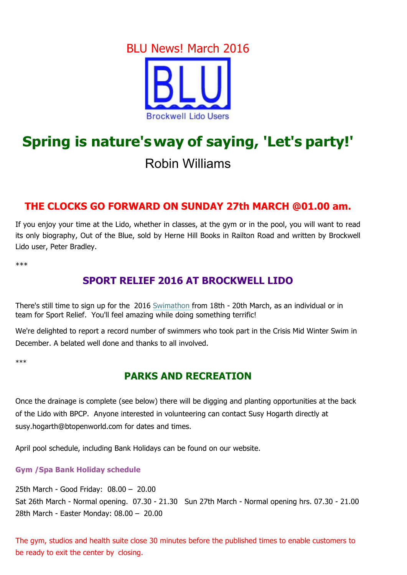## BLU News! March 2016



# **Spring is nature'sway of saying, 'Let's party!'**

## Robin Williams

#### **THE CLOCKS GO FORWARD ON SUNDAY 27th MARCH @01.00 am.**

If you enjoy your time at the Lido, whether in classes, at the gym or in the pool, you will want to read its only biography, Out of the Blue, sold by Herne Hill Books in Railton Road and written by Brockwell Lido user, Peter Bradley.

\*\*\*

### **SPORT RELIEF 2016 AT BROCKWELL LIDO**

There's still time to sign up for the 2016 Swimathon from 18th - 20th March, as an individual or in team for Sport Relief. You'll feel amazing while doing something terrific!

We're delighted to report a record number of swimmers who took part in the Crisis Mid Winter Swim in December. A belated well done and thanks to all involved.

\*\*\*

#### **PARKS AND RECREATION**

Once the drainage is complete (see below) there will be digging and planting opportunities at the back of the Lido with BPCP. Anyone interested in volunteering can contact Susy Hogarth directly at susy.hogarth@btopenworld.com for dates and times.

April pool schedule, including Bank Holidays can be found on our website.

#### **Gym /Spa Bank Holiday schedule**

25th March - Good Friday: 08.00 – 20.00

Sat 26th March - Normal opening. 07.30 - 21.30 Sun 27th March - Normal opening hrs. 07.30 - 21.00 28th March - Easter Monday: 08.00 – 20.00

The gym, studios and health suite close 30 minutes before the published times to enable customers to be ready to exit the center by closing.